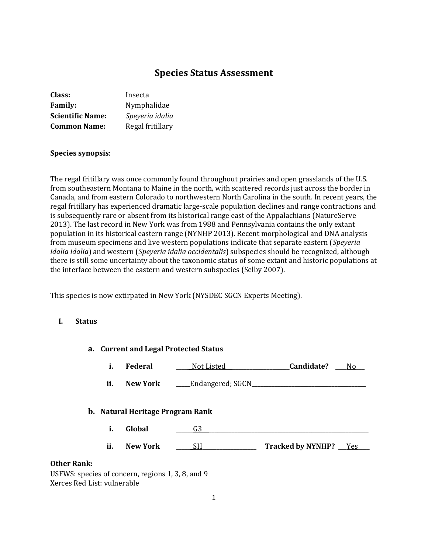# **Species Status Assessment**

| Class:                  | Insecta          |
|-------------------------|------------------|
| <b>Family:</b>          | Nymphalidae      |
| <b>Scientific Name:</b> | Speyeria idalia  |
| <b>Common Name:</b>     | Regal fritillary |

## **Species synopsis**:

The regal fritillary was once commonly found throughout prairies and open grasslands of the U.S. from southeastern Montana to Maine in the north, with scattered records just across the border in Canada, and from eastern Colorado to northwestern North Carolina in the south. In recent years, the regal fritillary has experienced dramatic large-scale population declines and range contractions and is subsequently rare or absent from its historical range east of the Appalachians (NatureServe 2013). The last record in New York was from 1988 and Pennsylvania contains the only extant population in its historical eastern range (NYNHP 2013). Recent morphological and DNA analysis from museum specimens and live western populations indicate that separate eastern (*Speyeria idalia idalia*) and western (*Speyeria idalia occidentalis*) subspecies should be recognized, although there is still some uncertainty about the taxonomic status of some extant and historic populations at the interface between the eastern and western subspecies (Selby 2007).

This species is now extirpated in New York (NYSDEC SGCN Experts Meeting).

#### **I. Status**

| a. Current and Legal Protected Status |     |                                         |                         |                          |
|---------------------------------------|-----|-----------------------------------------|-------------------------|--------------------------|
|                                       | i.  | Federal                                 | Not Listed              | Candidate?<br>No l       |
|                                       | ii. | <b>New York</b>                         | <b>Endangered; SGCN</b> |                          |
|                                       |     | <b>b.</b> Natural Heritage Program Rank |                         |                          |
|                                       | i.  | Global                                  | G3                      |                          |
|                                       | ii. | <b>New York</b>                         | <b>SH</b>               | Tracked by NYNHP? __ Yes |
| <b>Other Rank:</b><br>--------        |     |                                         |                         |                          |

USFWS: species of concern, regions 1, 3, 8, and 9 Xerces Red List: vulnerable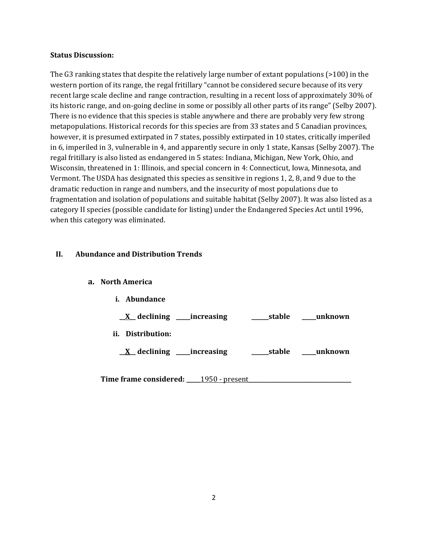#### **Status Discussion:**

The G3 ranking states that despite the relatively large number of extant populations (>100) in the western portion of its range, the regal fritillary "cannot be considered secure because of its very recent large scale decline and range contraction, resulting in a recent loss of approximately 30% of its historic range, and on-going decline in some or possibly all other parts of its range" (Selby 2007). There is no evidence that this species is stable anywhere and there are probably very few strong metapopulations. Historical records for this species are from 33 states and 5 Canadian provinces, however, it is presumed extirpated in 7 states, possibly extirpated in 10 states, critically imperiled in 6, imperiled in 3, vulnerable in 4, and apparently secure in only 1 state, Kansas (Selby 2007). The regal fritillary is also listed as endangered in 5 states: Indiana, Michigan, New York, Ohio, and Wisconsin, threatened in 1: Illinois, and special concern in 4: Connecticut, Iowa, Minnesota, and Vermont. The USDA has designated this species as sensitive in regions 1, 2, 8, and 9 due to the dramatic reduction in range and numbers, and the insecurity of most populations due to fragmentation and isolation of populations and suitable habitat (Selby 2007). It was also listed as a category II species (possible candidate for listing) under the Endangered Species Act until 1996, when this category was eliminated.

### **II. Abundance and Distribution Trends**

#### **a. North America**

| i.  | Abundance     |                                   |        |         |
|-----|---------------|-----------------------------------|--------|---------|
|     |               | <u>X</u> declining ____increasing | stable | unknown |
| ii. | Distribution: |                                   |        |         |
|     |               | <u>X</u> declining ____increasing | stable | unknown |
|     |               |                                   |        |         |

**Time frame considered: \_\_\_\_\_**1950 - present**\_\_\_\_\_\_\_\_\_\_\_\_\_\_\_\_\_\_\_\_\_\_\_\_\_\_\_\_\_\_\_\_\_\_\_\_**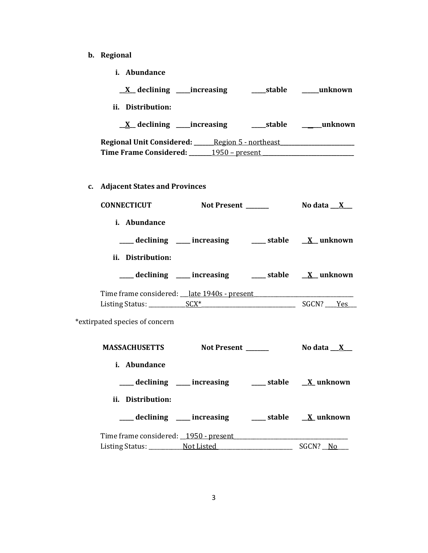- **b. Regional**
	- **i. Abundance**

| ii. Distribution:                                                                                                       |                      |
|-------------------------------------------------------------------------------------------------------------------------|----------------------|
|                                                                                                                         |                      |
| Regional Unit Considered: ______ Region 5 - northeast ____________________<br>Time Frame Considered: 1950 - present     |                      |
| c. Adjacent States and Provinces                                                                                        |                      |
| CONNECTICUT Not Present _______ No data X_                                                                              |                      |
| i. Abundance                                                                                                            |                      |
| declining ___ increasing ___ stable __ X_ unknown                                                                       |                      |
| ii. Distribution:                                                                                                       |                      |
| ___ declining ___ increasing ___ stable __ X_unknown                                                                    |                      |
| Time frame considered: <u>late 1940s - present</u> entitled and the constant of the term of the term of the term of the |                      |
| *extirpated species of concern                                                                                          |                      |
| MASSACHUSETTS Not Present ______                                                                                        | No data $\mathbf{X}$ |
| i. Abundance<br>___ declining ___ increasing ___ stable __ X_ unknown                                                   |                      |
| ii. Distribution:                                                                                                       |                      |
| ____ declining ____ increasing _____ stable __ <u>X</u> _unknown                                                        |                      |
| Time frame considered: _1950 - present                                                                                  |                      |
| Listing Status: Not Listed                                                                                              | SGCN? No             |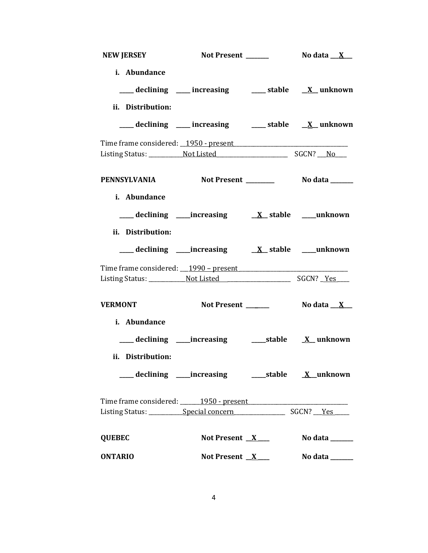| <b>NEW JERSEY</b>                     | Not Present ______                                              | No data $\mathbf{X}$            |
|---------------------------------------|-----------------------------------------------------------------|---------------------------------|
| i. Abundance                          |                                                                 |                                 |
|                                       | ___ declining ___ increasing ___ stable __ X_unknown            |                                 |
| ii. Distribution:                     |                                                                 |                                 |
|                                       | ___ declining ___ increasing ___ stable __ X_unknown            |                                 |
|                                       |                                                                 |                                 |
|                                       |                                                                 |                                 |
| PENNSYLVANIA                          |                                                                 |                                 |
| i. Abundance                          |                                                                 |                                 |
|                                       |                                                                 |                                 |
| ii. Distribution:                     |                                                                 |                                 |
|                                       |                                                                 |                                 |
|                                       |                                                                 |                                 |
|                                       |                                                                 |                                 |
| <b>VERMONT</b>                        | Not Present ______                                              | No data $\_\ X$                 |
| i. Abundance                          |                                                                 |                                 |
|                                       |                                                                 |                                 |
| ii. Distribution:                     |                                                                 |                                 |
|                                       | ___ declining ____increasing ______stable ___ <u>X</u> _unknown |                                 |
| Time frame considered: 1950 - present |                                                                 |                                 |
|                                       |                                                                 |                                 |
| <b>QUEBEC</b>                         | Not Present $X$                                                 | No data $\_\_\_\_\_\_\_\_\_\_\$ |
| <b>ONTARIO</b>                        |                                                                 | Not Present $X$ No data _______ |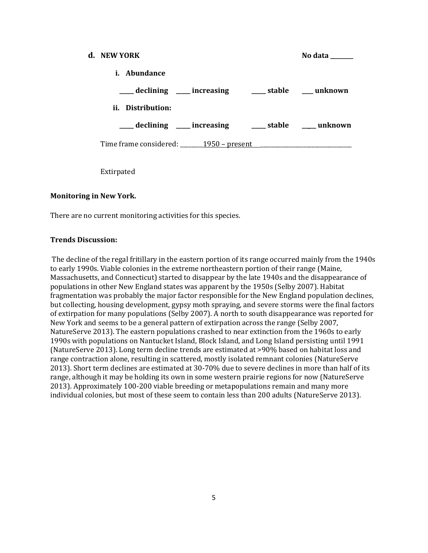| d. NEW YORK                                     |  | No data        |
|-------------------------------------------------|--|----------------|
| <i>i.</i> Abundance                             |  |                |
| ____ declining ____ increasing                  |  | stable unknown |
| ii. Distribution:                               |  |                |
| declining ___ increasing ___ stable ___ unknown |  |                |
| Time frame considered: _________ 1950 – present |  |                |

Extirpated

### **Monitoring in New York.**

There are no current monitoring activities for this species.

#### **Trends Discussion:**

The decline of the regal fritillary in the eastern portion of its range occurred mainly from the 1940s to early 1990s. Viable colonies in the extreme northeastern portion of their range (Maine, Massachusetts, and Connecticut) started to disappear by the late 1940s and the disappearance of populations in other New England states was apparent by the 1950s (Selby 2007). Habitat fragmentation was probably the major factor responsible for the New England population declines, but collecting, housing development, gypsy moth spraying, and severe storms were the final factors of extirpation for many populations (Selby 2007). A north to south disappearance was reported for New York and seems to be a general pattern of extirpation across the range (Selby 2007, NatureServe 2013). The eastern populations crashed to near extinction from the 1960s to early 1990s with populations on Nantucket Island, Block Island, and Long Island persisting until 1991 (NatureServe 2013). Long term decline trends are estimated at >90% based on habitat loss and range contraction alone, resulting in scattered, mostly isolated remnant colonies (NatureServe 2013). Short term declines are estimated at 30-70% due to severe declines in more than half of its range, although it may be holding its own in some western prairie regions for now (NatureServe 2013). Approximately 100-200 viable breeding or metapopulations remain and many more individual colonies, but most of these seem to contain less than 200 adults (NatureServe 2013).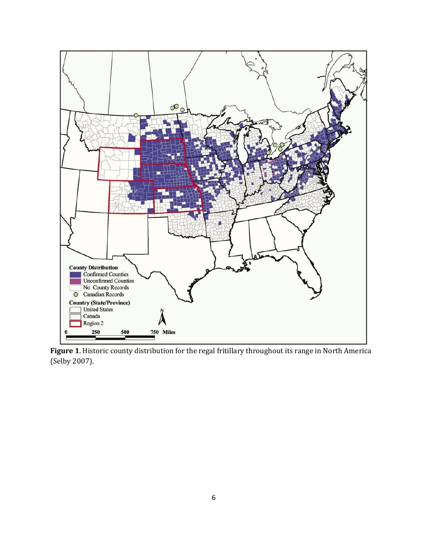

**Figure 1**. Historic county distribution for the regal fritillary throughout its range in North America (Selby 2007).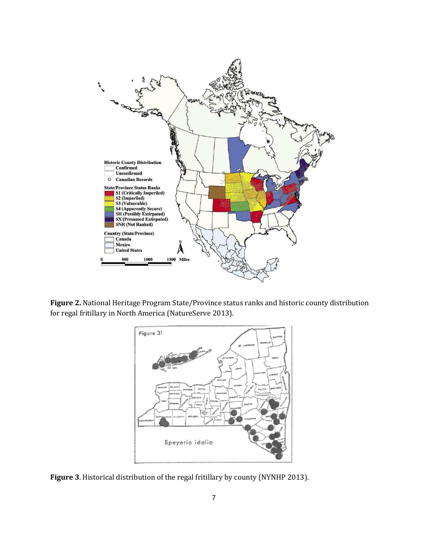

**Figure 2.** National Heritage Program State/Province status ranks and historic county distribution for regal fritillary in North America (NatureServe 2013).



**Figure 3**. Historical distribution of the regal fritillary by county (NYNHP 2013).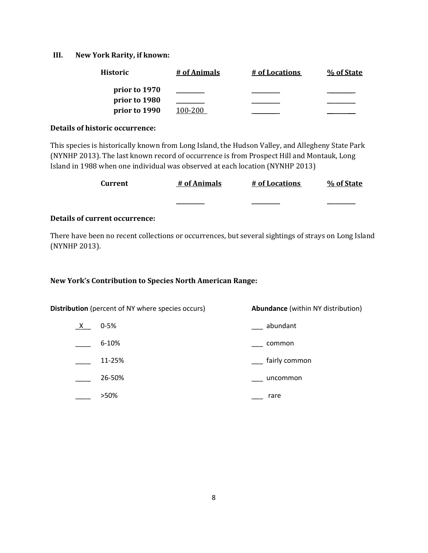### **III. New York Rarity, if known:**

| Historic      | # of Animals | # of Locations | % of State |
|---------------|--------------|----------------|------------|
| prior to 1970 |              |                |            |
| prior to 1980 |              |                |            |
| prior to 1990 | 100-200      |                |            |

#### **Details of historic occurrence:**

This species is historically known from Long Island, the Hudson Valley, and Allegheny State Park (NYNHP 2013). The last known record of occurrence is from Prospect Hill and Montauk, Long Island in 1988 when one individual was observed at each location (NYNHP 2013)

| Current | # of Animals | # of Locations | % of State |
|---------|--------------|----------------|------------|
|         |              |                |            |

## **Details of current occurrence:**

There have been no recent collections or occurrences, but several sightings of strays on Long Island (NYNHP 2013).

## **New York's Contribution to Species North American Range:**

**Distribution** (percent of NY where species occurs) **Abundance** (within NY distribution) \_X\_\_ 0-5% \_\_\_ abundant \_\_\_\_ 6-10% \_\_\_ common \_\_\_\_ 11-25% \_\_\_ fairly common \_\_\_\_ 26-50% \_\_\_ uncommon \_\_\_ >50% \_\_\_ rare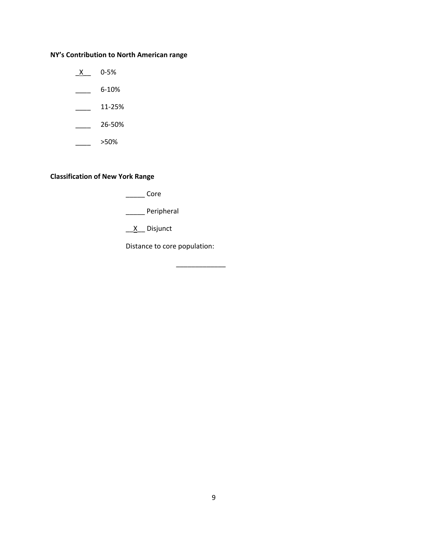## **NY's Contribution to North American range**

 $X$  0-5%  $\frac{6-10\%}{2}$  $\frac{11-25\%}{2}$ 

 $\frac{26-50\%}{26}$ 

 $\frac{1}{2}$  >50%

## **Classification of New York Range**

\_\_\_\_\_ Core

\_\_\_\_\_ Peripheral

 $\underline{X}$  Disjunct

Distance to core population:

\_\_\_\_\_\_\_\_\_\_\_\_\_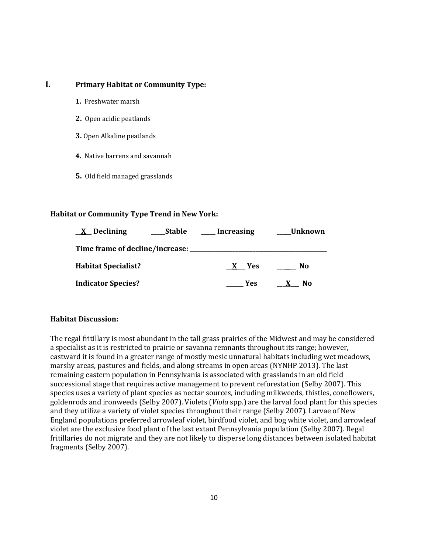## **I. Primary Habitat or Community Type:**

- **1.** Freshwater marsh
- **2.** Open acidic peatlands
- **3.** Open Alkaline peatlands
- **4.** Native barrens and savannah
- **5.** Old field managed grasslands

## **Habitat or Community Type Trend in New York:**

| $X$ Declining                   | <b>Stable</b> | <b>Increasing</b>          | Unknown_ |
|---------------------------------|---------------|----------------------------|----------|
| Time frame of decline/increase: |               |                            |          |
| <b>Habitat Specialist?</b>      |               | <b>Yes</b><br>$\mathbf{X}$ | No.      |
| <b>Indicator Species?</b>       |               | Yes                        | No       |

## **Habitat Discussion:**

The regal fritillary is most abundant in the tall grass prairies of the Midwest and may be considered a specialist as it is restricted to prairie or savanna remnants throughout its range; however, eastward it is found in a greater range of mostly mesic unnatural habitats including wet meadows, marshy areas, pastures and fields, and along streams in open areas (NYNHP 2013). The last remaining eastern population in Pennsylvania is associated with grasslands in an old field successional stage that requires active management to prevent reforestation (Selby 2007). This species uses a variety of plant species as nectar sources, including milkweeds, thistles, coneflowers, goldenrods and ironweeds (Selby 2007). Violets (*Viola* spp.) are the larval food plant for this species and they utilize a variety of violet species throughout their range (Selby 2007). Larvae of New England populations preferred arrowleaf violet, birdfood violet, and bog white violet, and arrowleaf violet are the exclusive food plant of the last extant Pennsylvania population (Selby 2007). Regal fritillaries do not migrate and they are not likely to disperse long distances between isolated habitat fragments (Selby 2007).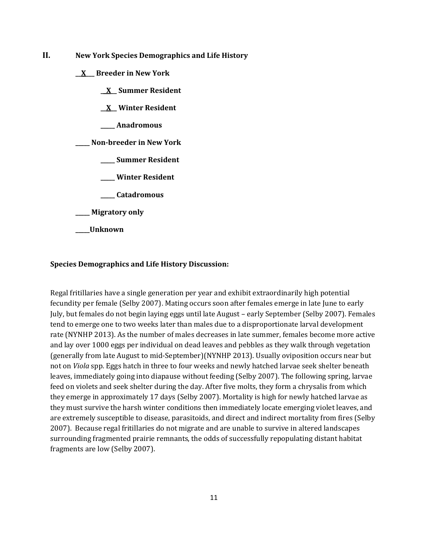- **II. New York Species Demographics and Life History**
	- **\_\_X\_\_\_ Breeder in New York**
		- **\_\_X\_\_ Summer Resident**
		- **\_\_X\_\_ Winter Resident**
		- **\_\_\_\_\_ Anadromous**

**\_\_\_\_\_ Non-breeder in New York**

- **\_\_\_\_\_ Summer Resident**
- **\_\_\_\_\_ Winter Resident**
- **\_\_\_\_\_ Catadromous**
- **\_\_\_\_\_ Migratory only**
- **\_\_\_\_\_Unknown**

### **Species Demographics and Life History Discussion:**

Regal fritillaries have a single generation per year and exhibit extraordinarily high potential fecundity per female (Selby 2007). Mating occurs soon after females emerge in late June to early July, but females do not begin laying eggs until late August – early September (Selby 2007). Females tend to emerge one to two weeks later than males due to a disproportionate larval development rate (NYNHP 2013). As the number of males decreases in late summer, females become more active and lay over 1000 eggs per individual on dead leaves and pebbles as they walk through vegetation (generally from late August to mid-September)(NYNHP 2013). Usually oviposition occurs near but not on *Viola* spp*.* Eggs hatch in three to four weeks and newly hatched larvae seek shelter beneath leaves, immediately going into diapause without feeding (Selby 2007). The following spring, larvae feed on violets and seek shelter during the day. After five molts, they form a chrysalis from which they emerge in approximately 17 days (Selby 2007). Mortality is high for newly hatched larvae as they must survive the harsh winter conditions then immediately locate emerging violet leaves, and are extremely susceptible to disease, parasitoids, and direct and indirect mortality from fires (Selby 2007). Because regal fritillaries do not migrate and are unable to survive in altered landscapes surrounding fragmented prairie remnants, the odds of successfully repopulating distant habitat fragments are low (Selby 2007).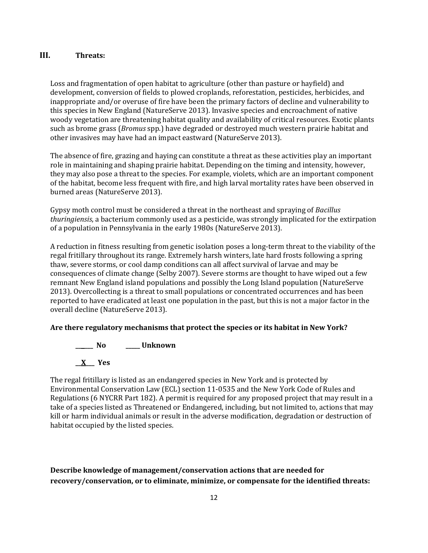## **III. Threats:**

Loss and fragmentation of open habitat to agriculture (other than pasture or hayfield) and development, conversion of fields to plowed croplands, reforestation, pesticides, herbicides, and inappropriate and/or overuse of fire have been the primary factors of decline and vulnerability to this species in New England (NatureServe 2013). Invasive species and encroachment of native woody vegetation are threatening habitat quality and availability of critical resources. Exotic plants such as brome grass (*Bromus* spp.) have degraded or destroyed much western prairie habitat and other invasives may have had an impact eastward (NatureServe 2013).

The absence of fire, grazing and haying can constitute a threat as these activities play an important role in maintaining and shaping prairie habitat. Depending on the timing and intensity, however, they may also pose a threat to the species. For example, violets, which are an important component of the habitat, become less frequent with fire, and high larval mortality rates have been observed in burned areas (NatureServe 2013).

Gypsy moth control must be considered a threat in the northeast and spraying of *Bacillus thuringiensis*, a bacterium commonly used as a pesticide, was strongly implicated for the extirpation of a population in Pennsylvania in the early 1980s (NatureServe 2013).

A reduction in fitness resulting from genetic isolation poses a long-term threat to the viability of the regal fritillary throughout its range. Extremely harsh winters, late hard frosts following a spring thaw, severe storms, or cool damp conditions can all affect survival of larvae and may be consequences of climate change (Selby 2007). Severe storms are thought to have wiped out a few remnant New England island populations and possibly the Long Island population (NatureServe 2013). Overcollecting is a threat to small populations or concentrated occurrences and has been reported to have eradicated at least one population in the past, but this is not a major factor in the overall decline (NatureServe 2013).

## **Are there regulatory mechanisms that protect the species or its habitat in New York?**

**\_\_ \_\_\_ No \_\_\_\_\_ Unknown \_\_X\_\_\_ Yes** 

The regal fritillary is listed as an endangered species in New York and is protected by Environmental Conservation Law (ECL) section 11-0535 and the New York Code of Rules and Regulations (6 NYCRR Part 182). A permit is required for any proposed project that may result in a take of a species listed as Threatened or Endangered, including, but not limited to, actions that may kill or harm individual animals or result in the adverse modification, degradation or destruction of habitat occupied by the listed species.

## **Describe knowledge of management/conservation actions that are needed for recovery/conservation, or to eliminate, minimize, or compensate for the identified threats:**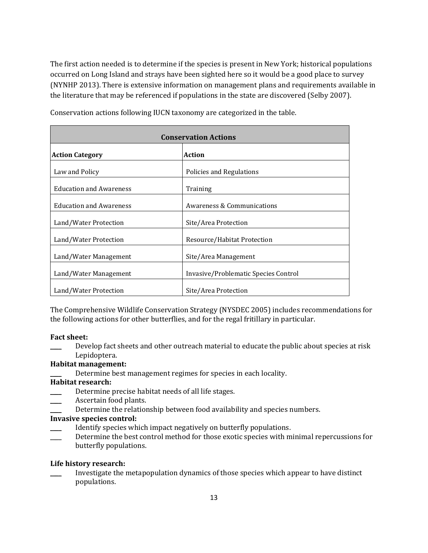The first action needed is to determine if the species is present in New York; historical populations occurred on Long Island and strays have been sighted here so it would be a good place to survey (NYNHP 2013). There is extensive information on management plans and requirements available in the literature that may be referenced if populations in the state are discovered (Selby 2007).

| <b>Conservation Actions</b>             |                                      |  |
|-----------------------------------------|--------------------------------------|--|
| <b>Action</b><br><b>Action Category</b> |                                      |  |
| Law and Policy                          | Policies and Regulations             |  |
| <b>Education and Awareness</b>          | Training                             |  |
| <b>Education and Awareness</b>          | Awareness & Communications           |  |
| Land/Water Protection                   | Site/Area Protection                 |  |
| Land/Water Protection                   | Resource/Habitat Protection          |  |
| Land/Water Management                   | Site/Area Management                 |  |
| Land/Water Management                   | Invasive/Problematic Species Control |  |
| Land/Water Protection                   | Site/Area Protection                 |  |

Conservation actions following IUCN taxonomy are categorized in the table.

The Comprehensive Wildlife Conservation Strategy (NYSDEC 2005) includes recommendations for the following actions for other butterflies, and for the regal fritillary in particular.

#### **Fact sheet:**

Develop fact sheets and other outreach material to educate the public about species at risk Lepidoptera.

#### **Habitat management:**

Determine best management regimes for species in each locality.

#### **Habitat research:**

- Determine precise habitat needs of all life stages.
- Ascertain food plants.
- Determine the relationship between food availability and species numbers.

### **Invasive species control:**

- Identify species which impact negatively on butterfly populations.
- Determine the best control method for those exotic species with minimal repercussions for butterfly populations.

#### **Life history research:**

\_\_\_\_ Investigate the metapopulation dynamics of those species which appear to have distinct populations.